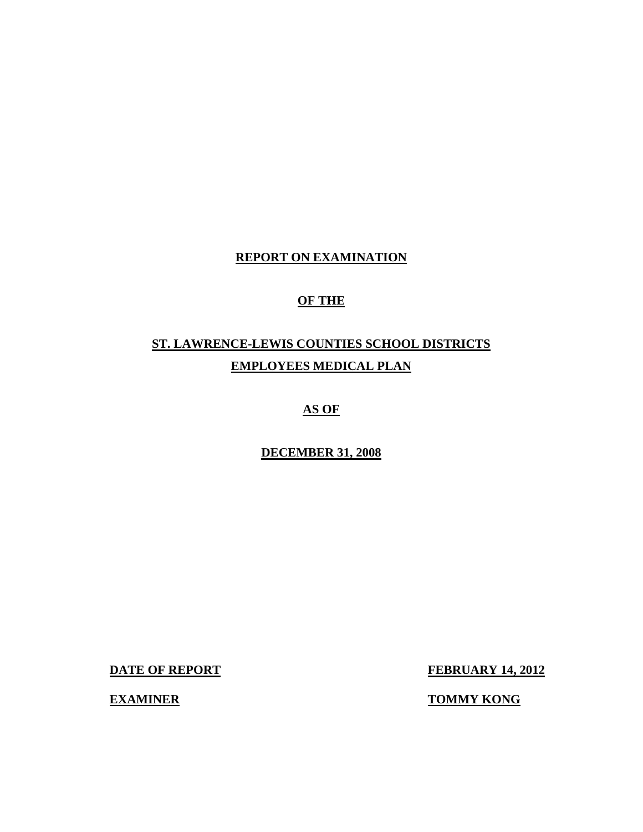## **REPORT ON EXAMINATION**

## **OF THE**

## **ST. LAWRENCE-LEWIS COUNTIES SCHOOL DISTRICTS EMPLOYEES MEDICAL PLAN**

## **AS OF**

## **DECEMBER 31, 2008**

**DATE OF REPORT FEBRUARY 14, 2012** 

**EXAMINER TOMMY KONG**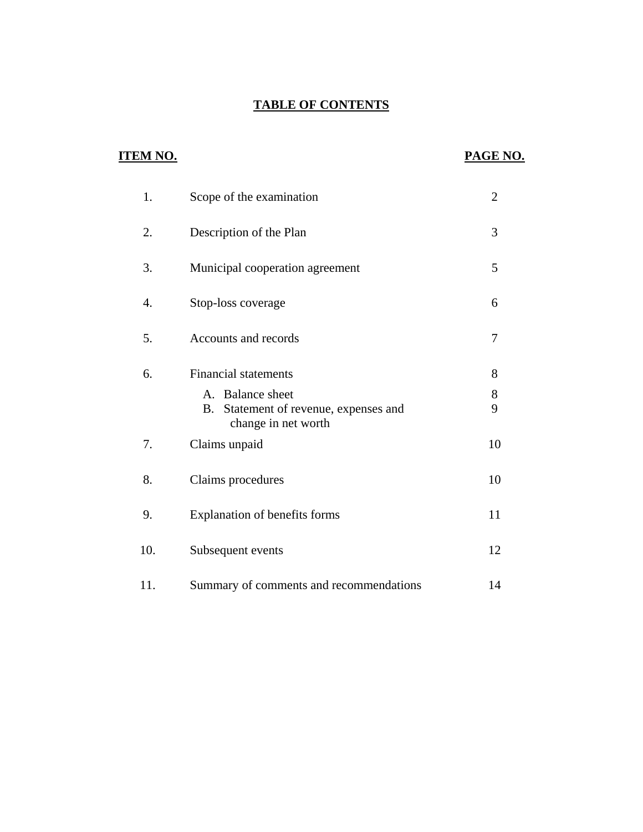## **TABLE OF CONTENTS**

## **ITEM NO.**

## **PAGE NO.**

| 1.  | Scope of the examination                                                                                           | $\overline{2}$ |
|-----|--------------------------------------------------------------------------------------------------------------------|----------------|
| 2.  | Description of the Plan                                                                                            | 3              |
| 3.  | Municipal cooperation agreement                                                                                    | 5              |
| 4.  | Stop-loss coverage                                                                                                 | 6              |
| 5.  | Accounts and records                                                                                               | 7              |
| 6.  | <b>Financial statements</b><br>A. Balance sheet<br>Statement of revenue, expenses and<br>B.<br>change in net worth | 8<br>8<br>9    |
| 7.  | Claims unpaid                                                                                                      | 10             |
| 8.  | Claims procedures                                                                                                  | 10             |
| 9.  | Explanation of benefits forms                                                                                      | 11             |
| 10. | Subsequent events                                                                                                  | 12             |
| 11. | Summary of comments and recommendations                                                                            | 14             |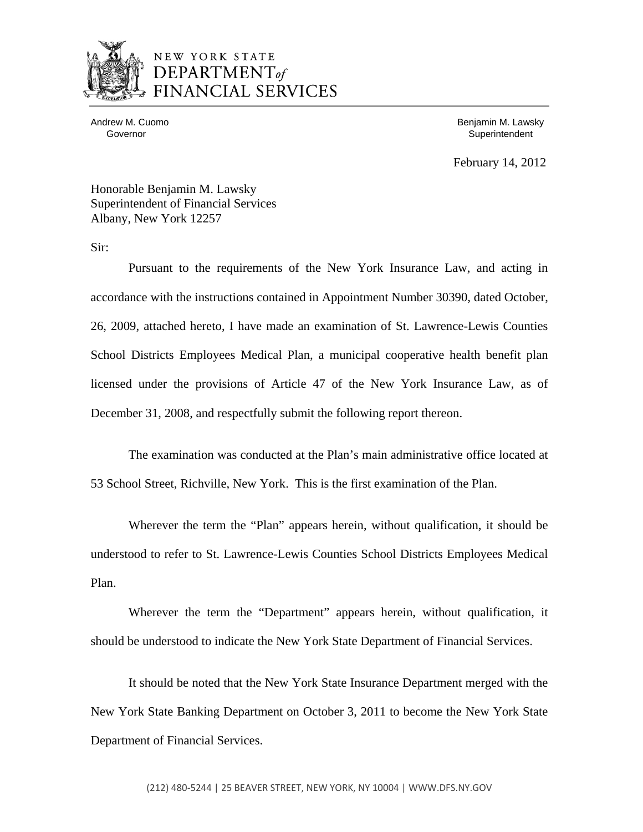

## NEW YORK STATE DEPARTMENT<sub>of</sub> **NCIAL SERVICES**

Andrew M. Cuomo Governor

 Benjamin M. Lawsky **Superintendent** 

February 14, 2012

Honorable Benjamin M. Lawsky Superintendent of Financial Services Albany, New York 12257

Sir:

Pursuant to the requirements of the New York Insurance Law, and acting in accordance with the instructions contained in Appointment Number 30390, dated October, 26, 2009, attached hereto, I have made an examination of St. Lawrence-Lewis Counties School Districts Employees Medical Plan, a municipal cooperative health benefit plan licensed under the provisions of Article 47 of the New York Insurance Law, as of December 31, 2008, and respectfully submit the following report thereon.

The examination was conducted at the Plan's main administrative office located at 53 School Street, Richville, New York. This is the first examination of the Plan.

Wherever the term the "Plan" appears herein, without qualification, it should be understood to refer to St. Lawrence-Lewis Counties School Districts Employees Medical Plan.

Wherever the term the "Department" appears herein, without qualification, it should be understood to indicate the New York State Department of Financial Services.

It should be noted that the New York State Insurance Department merged with the New York State Banking Department on October 3, 2011 to become the New York State Department of Financial Services.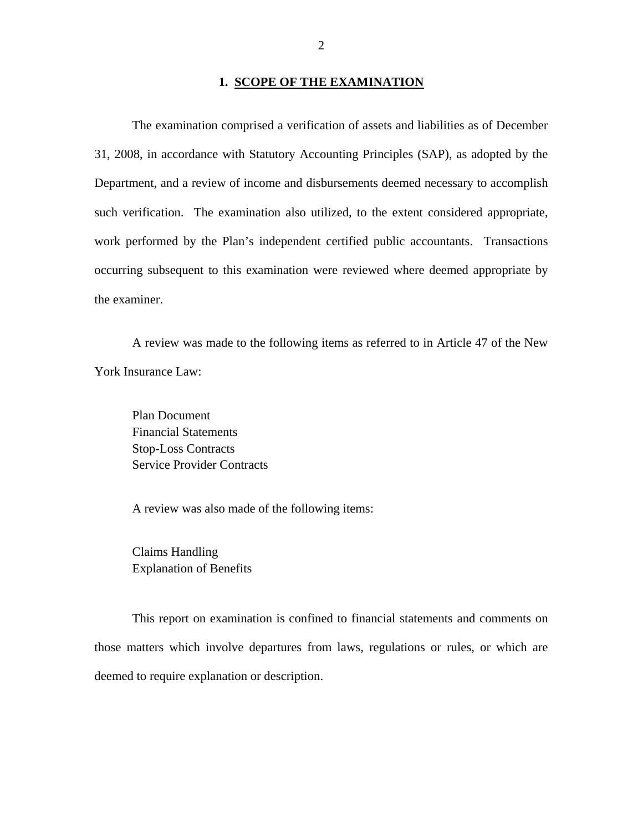## **1. SCOPE OF THE EXAMINATION**

The examination comprised a verification of assets and liabilities as of December 31, 2008, in accordance with Statutory Accounting Principles (SAP), as adopted by the Department, and a review of income and disbursements deemed necessary to accomplish such verification. The examination also utilized, to the extent considered appropriate, work performed by the Plan's independent certified public accountants. Transactions occurring subsequent to this examination were reviewed where deemed appropriate by the examiner.

A review was made to the following items as referred to in Article 47 of the New York Insurance Law:

Plan Document Financial Statements Stop-Loss Contracts Service Provider Contracts

A review was also made of the following items:

Claims Handling Explanation of Benefits

This report on examination is confined to financial statements and comments on those matters which involve departures from laws, regulations or rules, or which are deemed to require explanation or description.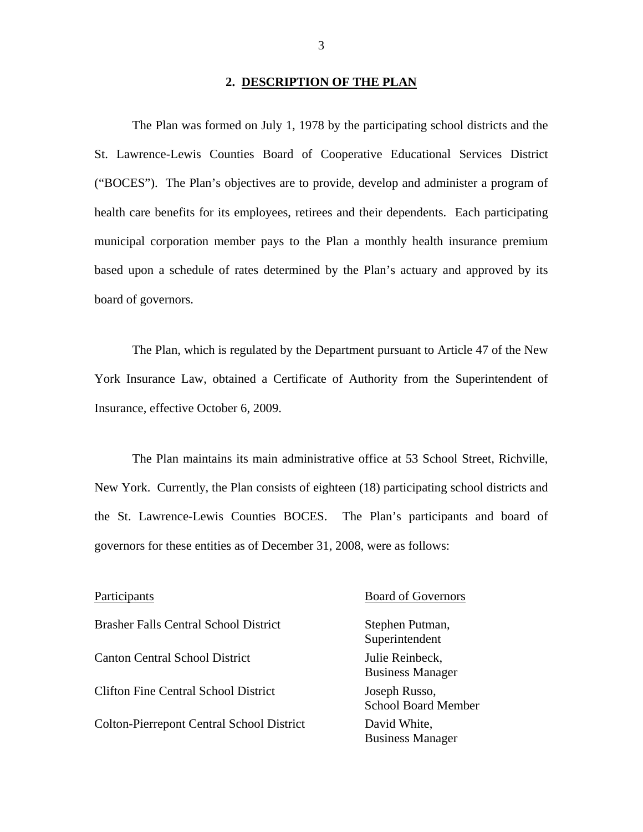#### **2. DESCRIPTION OF THE PLAN**

<span id="page-4-0"></span>The Plan was formed on July 1, 1978 by the participating school districts and the St. Lawrence-Lewis Counties Board of Cooperative Educational Services District ("BOCES"). The Plan's objectives are to provide, develop and administer a program of health care benefits for its employees, retirees and their dependents. Each participating municipal corporation member pays to the Plan a monthly health insurance premium based upon a schedule of rates determined by the Plan's actuary and approved by its board of governors.

The Plan, which is regulated by the Department pursuant to Article 47 of the New York Insurance Law, obtained a Certificate of Authority from the Superintendent of Insurance, effective October 6, 2009.

The Plan maintains its main administrative office at 53 School Street, Richville, New York. Currently, the Plan consists of eighteen (18) participating school districts and the St. Lawrence-Lewis Counties BOCES. The Plan's participants and board of governors for these entities as of December 31, 2008, were as follows:

Brasher Falls Central School District Stephen Putman, Canton Central School District Julie Reinbeck, Clifton Fine Central School District Joseph Russo, Colton-Pierrepont Central School District David White,

#### Participants Board of Governors

Superintendent Business Manager School Board Member Business Manager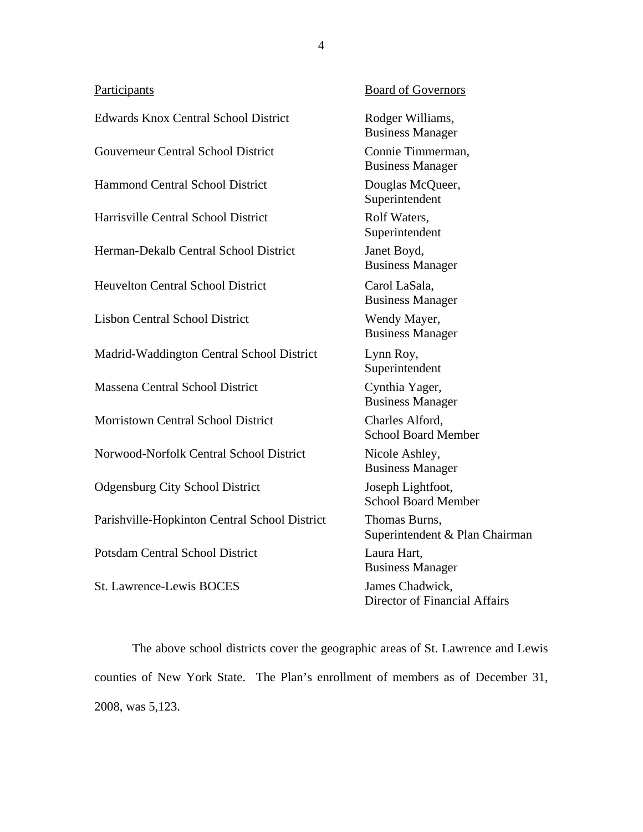| Participants                                  | <b>Board of Governors</b>                        |
|-----------------------------------------------|--------------------------------------------------|
| <b>Edwards Knox Central School District</b>   | Rodger Williams,<br><b>Business Manager</b>      |
| <b>Gouverneur Central School District</b>     | Connie Timmerman,<br><b>Business Manager</b>     |
| <b>Hammond Central School District</b>        | Douglas McQueer,<br>Superintendent               |
| Harrisville Central School District           | Rolf Waters,<br>Superintendent                   |
| Herman-Dekalb Central School District         | Janet Boyd,<br><b>Business Manager</b>           |
| <b>Heuvelton Central School District</b>      | Carol LaSala,<br><b>Business Manager</b>         |
| <b>Lisbon Central School District</b>         | Wendy Mayer,<br><b>Business Manager</b>          |
| Madrid-Waddington Central School District     | Lynn Roy,<br>Superintendent                      |
| Massena Central School District               | Cynthia Yager,<br><b>Business Manager</b>        |
| <b>Morristown Central School District</b>     | Charles Alford,<br><b>School Board Member</b>    |
| Norwood-Norfolk Central School District       | Nicole Ashley,<br><b>Business Manager</b>        |
| <b>Odgensburg City School District</b>        | Joseph Lightfoot,<br><b>School Board Member</b>  |
| Parishville-Hopkinton Central School District | Thomas Burns,<br>Superintendent & Plan Chairman  |
| <b>Potsdam Central School District</b>        | Laura Hart,<br><b>Business Manager</b>           |
| <b>St. Lawrence-Lewis BOCES</b>               | James Chadwick,<br>Director of Financial Affairs |

The above school districts cover the geographic areas of St. Lawrence and Lewis counties of New York State. The Plan's enrollment of members as of December 31, 2008, was 5,123.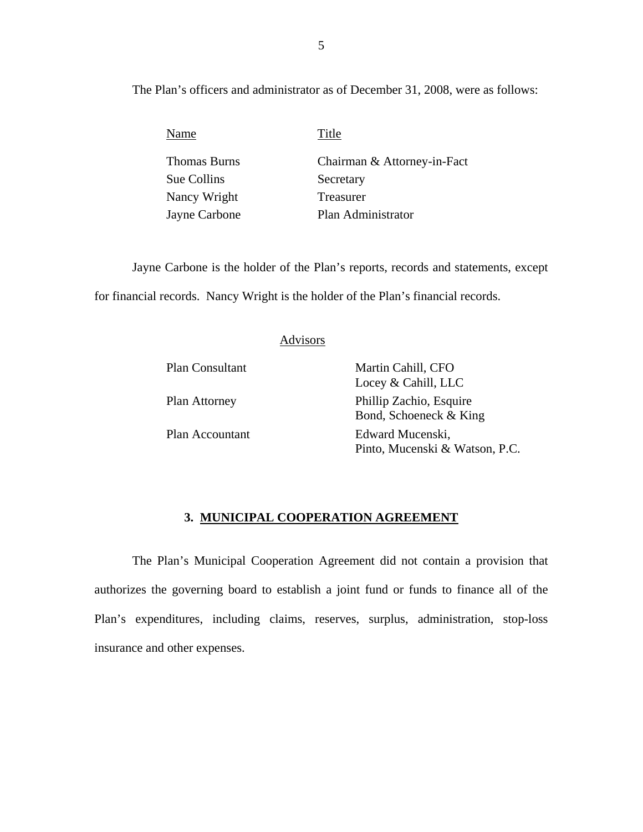The Plan's officers and administrator as of December 31, 2008, were as follows:

| Name          | Title                       |
|---------------|-----------------------------|
| Thomas Burns  | Chairman & Attorney-in-Fact |
| Sue Collins   | Secretary                   |
| Nancy Wright  | Treasurer                   |
| Jayne Carbone | Plan Administrator          |

Jayne Carbone is the holder of the Plan's reports, records and statements, except for financial records. Nancy Wright is the holder of the Plan's financial records.

### Advisors

Plan Consultant Martin Cahill, CFO Locey & Cahill, LLC Plan Attorney Phillip Zachio, Esquire Bond, Schoeneck & King Plan Accountant Edward Mucenski, Pinto, Mucenski & Watson, P.C.

#### **3. MUNICIPAL COOPERATION AGREEMENT**

The Plan's Municipal Cooperation Agreement did not contain a provision that authorizes the governing board to establish a joint fund or funds to finance all of the Plan's expenditures, including claims, reserves, surplus, administration, stop-loss insurance and other expenses.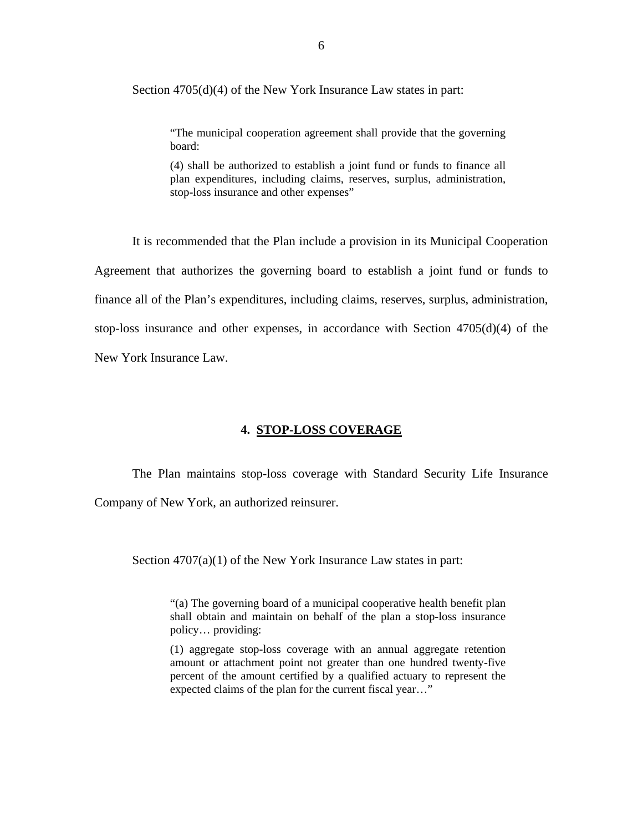<span id="page-7-0"></span>Section 4705(d)(4) of the New York Insurance Law states in part:

"The municipal cooperation agreement shall provide that the governing board:

(4) shall be authorized to establish a joint fund or funds to finance all plan expenditures, including claims, reserves, surplus, administration, stop-loss insurance and other expenses"

It is recommended that the Plan include a provision in its Municipal Cooperation Agreement that authorizes the governing board to establish a joint fund or funds to finance all of the Plan's expenditures, including claims, reserves, surplus, administration, stop-loss insurance and other expenses, in accordance with Section 4705(d)(4) of the New York Insurance Law.

#### **4. STOP-LOSS COVERAGE**

The Plan maintains stop-loss coverage with Standard Security Life Insurance Company of New York, an authorized reinsurer.

Section 4707(a)(1) of the New York Insurance Law states in part:

"(a) The governing board of a municipal cooperative health benefit plan shall obtain and maintain on behalf of the plan a stop-loss insurance policy… providing:

(1) aggregate stop-loss coverage with an annual aggregate retention amount or attachment point not greater than one hundred twenty-five percent of the amount certified by a qualified actuary to represent the expected claims of the plan for the current fiscal year…"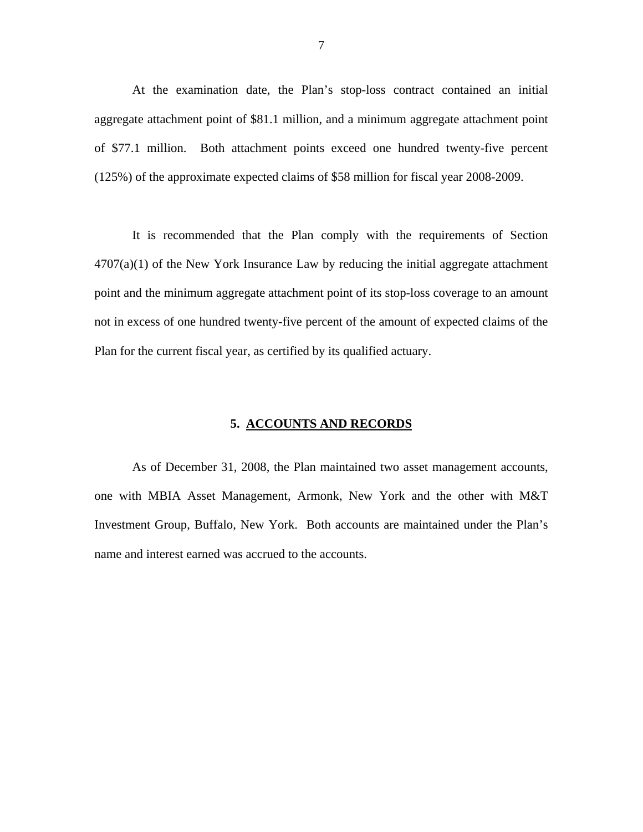<span id="page-8-0"></span>At the examination date, the Plan's stop-loss contract contained an initial aggregate attachment point of \$81.1 million, and a minimum aggregate attachment point of \$77.1 million. Both attachment points exceed one hundred twenty-five percent (125%) of the approximate expected claims of \$58 million for fiscal year 2008-2009.

It is recommended that the Plan comply with the requirements of Section  $4707(a)(1)$  of the New York Insurance Law by reducing the initial aggregate attachment point and the minimum aggregate attachment point of its stop-loss coverage to an amount not in excess of one hundred twenty-five percent of the amount of expected claims of the Plan for the current fiscal year, as certified by its qualified actuary.

#### **5. ACCOUNTS AND RECORDS**

As of December 31, 2008, the Plan maintained two asset management accounts, one with MBIA Asset Management, Armonk, New York and the other with M&T Investment Group, Buffalo, New York. Both accounts are maintained under the Plan's name and interest earned was accrued to the accounts.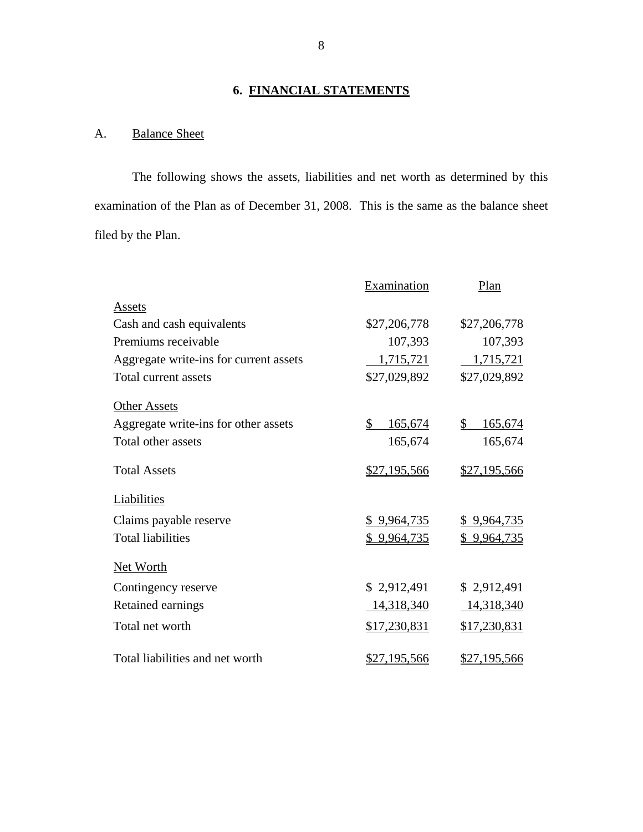## **6. FINANCIAL STATEMENTS**

## A. Balance Sheet

The following shows the assets, liabilities and net worth as determined by this examination of the Plan as of December 31, 2008. This is the same as the balance sheet filed by the Plan.

|                                        | Examination             | Plan          |
|----------------------------------------|-------------------------|---------------|
| Assets                                 |                         |               |
| Cash and cash equivalents              | \$27,206,778            | \$27,206,778  |
| Premiums receivable                    | 107,393                 | 107,393       |
| Aggregate write-ins for current assets | 1,715,721               | 1,715,721     |
| Total current assets                   | \$27,029,892            | \$27,029,892  |
| <b>Other Assets</b>                    |                         |               |
| Aggregate write-ins for other assets   | $\mathbb{S}$<br>165,674 | \$<br>165,674 |
| Total other assets                     | 165,674                 | 165,674       |
| <b>Total Assets</b>                    | \$27,195,566            | \$27,195,566  |
| Liabilities                            |                         |               |
| Claims payable reserve                 | \$9,964,735             | \$9,964,735   |
| <b>Total liabilities</b>               | \$9,964,735             | \$9,964,735   |
| Net Worth                              |                         |               |
| Contingency reserve                    | \$2,912,491             | \$2,912,491   |
| Retained earnings                      | 14,318,340              | 14,318,340    |
| Total net worth                        | \$17,230,831            | \$17,230,831  |
| Total liabilities and net worth        | <u>\$27,195,566</u>     | \$27,195,566  |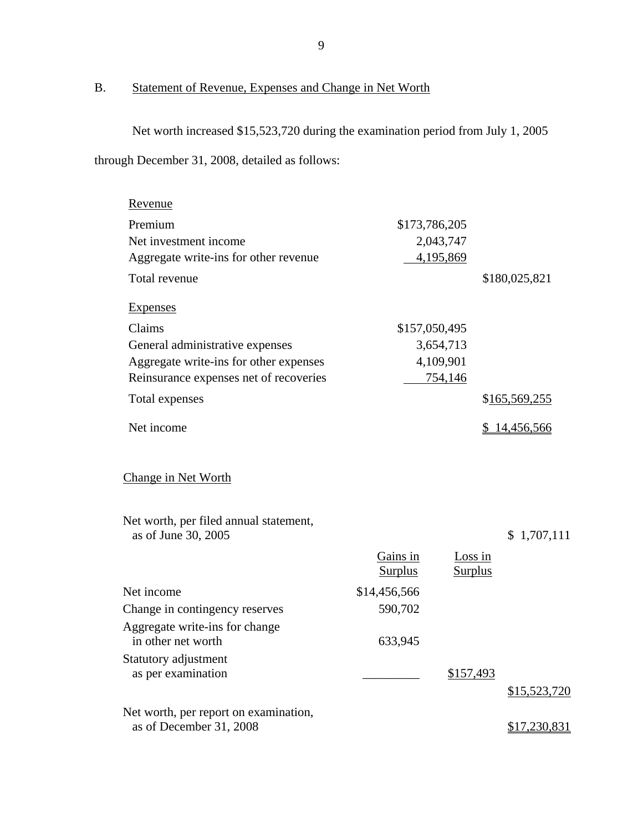## B. Statement of Revenue, Expenses and Change in Net Worth

Net worth increased \$15,523,720 during the examination period from July 1, 2005 through December 31, 2008, detailed as follows:

|                |  |                                                                     | \$180,025,821                          |
|----------------|--|---------------------------------------------------------------------|----------------------------------------|
|                |  |                                                                     |                                        |
|                |  |                                                                     |                                        |
| 3,654,713      |  |                                                                     |                                        |
| 4,109,901      |  |                                                                     |                                        |
|                |  |                                                                     |                                        |
|                |  |                                                                     | \$165,569,255                          |
|                |  |                                                                     | \$14,456,566                           |
|                |  |                                                                     |                                        |
|                |  |                                                                     | \$1,707,111                            |
| Gains in       |  |                                                                     |                                        |
| <b>Surplus</b> |  |                                                                     |                                        |
| \$14,456,566   |  |                                                                     |                                        |
| 590,702        |  |                                                                     |                                        |
| 633,945        |  |                                                                     |                                        |
|                |  |                                                                     |                                        |
|                |  |                                                                     |                                        |
|                |  |                                                                     | \$15,523,720                           |
|                |  |                                                                     |                                        |
|                |  |                                                                     | \$17,230,831                           |
|                |  | \$173,786,205<br>2,043,747<br>4,195,869<br>\$157,050,495<br>754,146 | Loss in<br><b>Surplus</b><br>\$157,493 |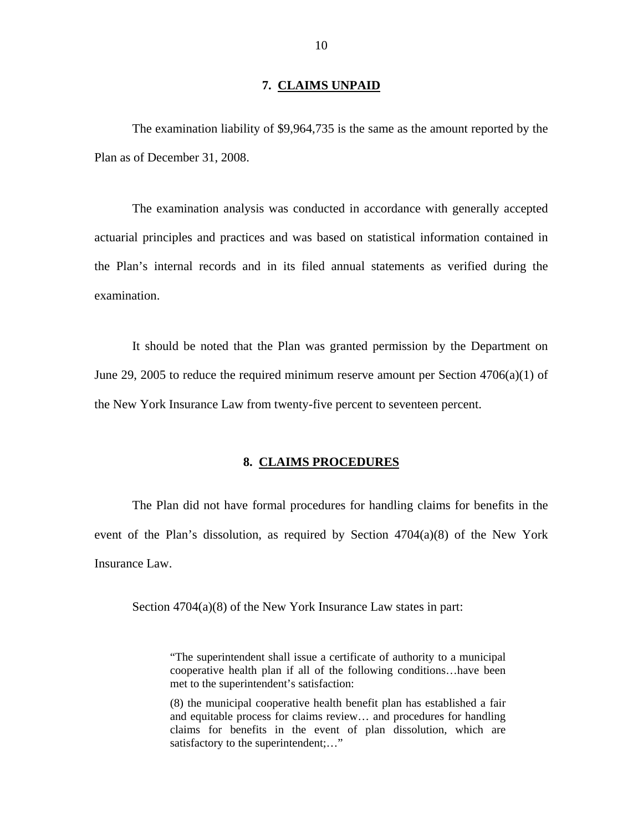#### **7. CLAIMS UNPAID**

<span id="page-11-0"></span>The examination liability of \$9,964,735 is the same as the amount reported by the Plan as of December 31, 2008.

The examination analysis was conducted in accordance with generally accepted actuarial principles and practices and was based on statistical information contained in the Plan's internal records and in its filed annual statements as verified during the examination.

It should be noted that the Plan was granted permission by the Department on June 29, 2005 to reduce the required minimum reserve amount per Section  $4706(a)(1)$  of the New York Insurance Law from twenty-five percent to seventeen percent.

### **8. CLAIMS PROCEDURES**

The Plan did not have formal procedures for handling claims for benefits in the event of the Plan's dissolution, as required by Section  $4704(a)(8)$  of the New York Insurance Law.

Section 4704(a)(8) of the New York Insurance Law states in part:

"The superintendent shall issue a certificate of authority to a municipal cooperative health plan if all of the following conditions…have been met to the superintendent's satisfaction:

(8) the municipal cooperative health benefit plan has established a fair and equitable process for claims review… and procedures for handling claims for benefits in the event of plan dissolution, which are satisfactory to the superintendent;..."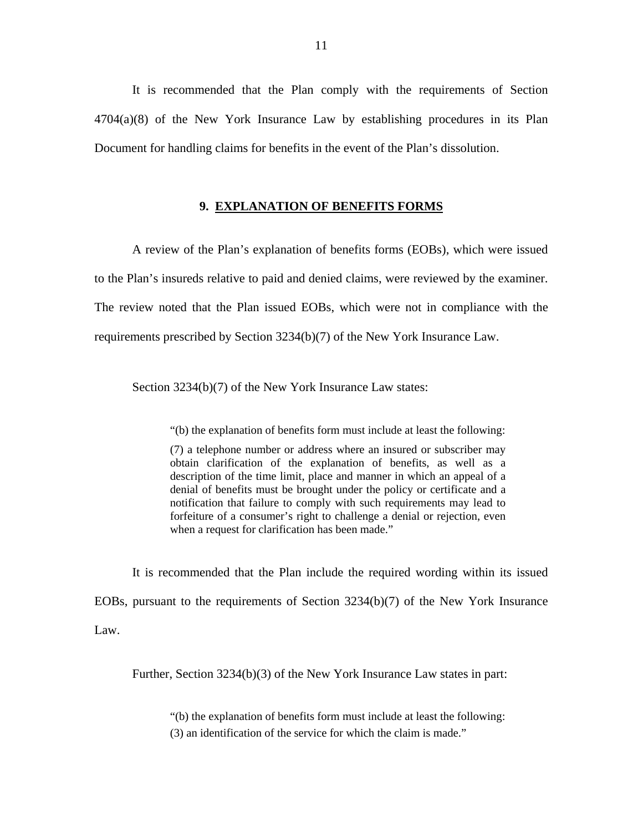<span id="page-12-0"></span>It is recommended that the Plan comply with the requirements of Section 4704(a)(8) of the New York Insurance Law by establishing procedures in its Plan Document for handling claims for benefits in the event of the Plan's dissolution.

#### **9. EXPLANATION OF BENEFITS FORMS**

A review of the Plan's explanation of benefits forms (EOBs), which were issued to the Plan's insureds relative to paid and denied claims, were reviewed by the examiner. The review noted that the Plan issued EOBs, which were not in compliance with the requirements prescribed by Section 3234(b)(7) of the New York Insurance Law.

Section 3234(b)(7) of the New York Insurance Law states:

"(b) the explanation of benefits form must include at least the following:

(7) a telephone number or address where an insured or subscriber may obtain clarification of the explanation of benefits, as well as a description of the time limit, place and manner in which an appeal of a denial of benefits must be brought under the policy or certificate and a notification that failure to comply with such requirements may lead to forfeiture of a consumer's right to challenge a denial or rejection, even when a request for clarification has been made."

It is recommended that the Plan include the required wording within its issued EOBs, pursuant to the requirements of Section 3234(b)(7) of the New York Insurance Law.

Further, Section 3234(b)(3) of the New York Insurance Law states in part:

"(b) the explanation of benefits form must include at least the following: (3) an identification of the service for which the claim is made."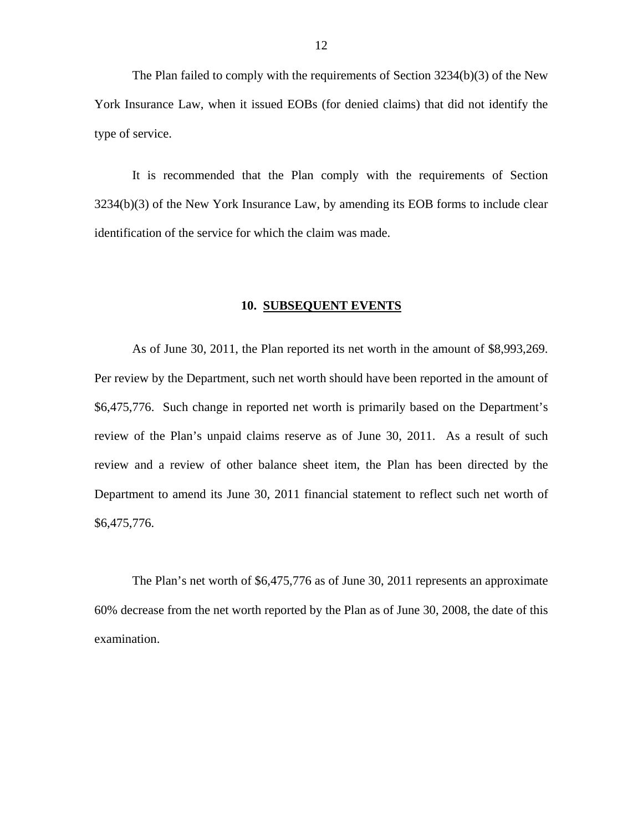<span id="page-13-0"></span>The Plan failed to comply with the requirements of Section 3234(b)(3) of the New York Insurance Law, when it issued EOBs (for denied claims) that did not identify the type of service.

It is recommended that the Plan comply with the requirements of Section 3234(b)(3) of the New York Insurance Law, by amending its EOB forms to include clear identification of the service for which the claim was made.

#### **10. SUBSEQUENT EVENTS**

As of June 30, 2011, the Plan reported its net worth in the amount of \$8,993,269. Per review by the Department, such net worth should have been reported in the amount of \$6,475,776. Such change in reported net worth is primarily based on the Department's review of the Plan's unpaid claims reserve as of June 30, 2011. As a result of such review and a review of other balance sheet item, the Plan has been directed by the Department to amend its June 30, 2011 financial statement to reflect such net worth of \$6,475,776.

The Plan's net worth of \$6,475,776 as of June 30, 2011 represents an approximate 60% decrease from the net worth reported by the Plan as of June 30, 2008, the date of this examination.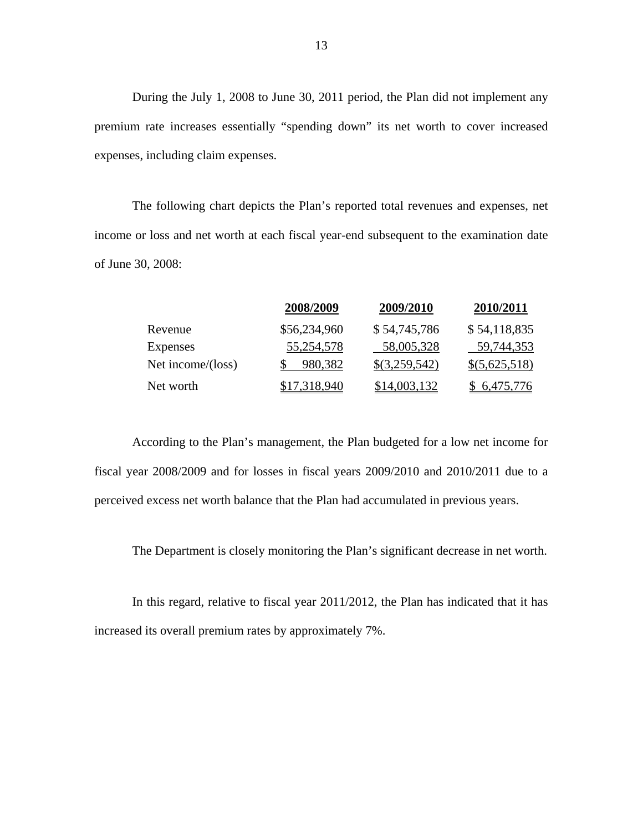During the July 1, 2008 to June 30, 2011 period, the Plan did not implement any premium rate increases essentially "spending down" its net worth to cover increased expenses, including claim expenses.

The following chart depicts the Plan's reported total revenues and expenses, net income or loss and net worth at each fiscal year-end subsequent to the examination date of June 30, 2008:

|                   | 2008/2009    | 2009/2010         | 2010/2011     |
|-------------------|--------------|-------------------|---------------|
| Revenue           | \$56,234,960 | \$54,745,786      | \$54,118,835  |
| <b>Expenses</b>   | 55,254,578   | 58,005,328        | 59,744,353    |
| Net income/(loss) | 980,382      | $\{(3,259,542)\}$ | \$(5,625,518) |
| Net worth         | \$17,318,940 | \$14,003,132      | \$6,475,776   |

According to the Plan's management, the Plan budgeted for a low net income for fiscal year 2008/2009 and for losses in fiscal years 2009/2010 and 2010/2011 due to a perceived excess net worth balance that the Plan had accumulated in previous years.

The Department is closely monitoring the Plan's significant decrease in net worth.

In this regard, relative to fiscal year 2011/2012, the Plan has indicated that it has increased its overall premium rates by approximately 7%.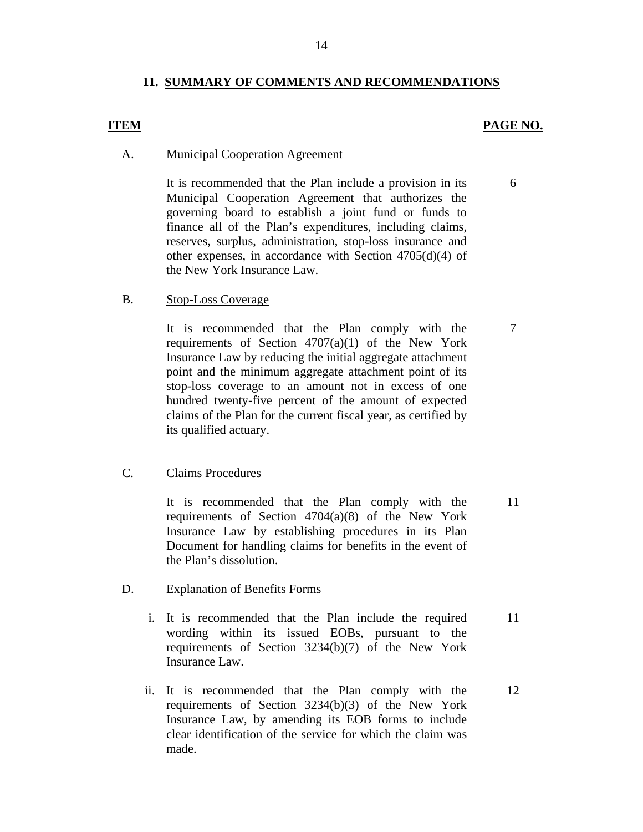### **11. SUMMARY OF COMMENTS AND RECOMMENDATIONS**

### **ITEM PAGE NO.**

6

#### **Municipal Cooperation Agreement**

A. Municipal Cooperation Agreement<br>It is recommended that the Plan include a provision in its Municipal Cooperation Agreement that authorizes the governing board to establish a joint fund or funds to finance all of the Plan's expenditures, including claims, reserves, surplus, administration, stop-loss insurance and other expenses, in accordance with Section 4705(d)(4) of the New York Insurance Law.

#### **Stop-Loss Coverage**

B. Stop-Loss Coverage<br>It is recommended that the Plan comply with the requirements of Section  $4707(a)(1)$  of the New York Insurance Law by reducing the initial aggregate attachment point and the minimum aggregate attachment point of its stop-loss coverage to an amount not in excess of one hundred twenty-five percent of the amount of expected claims of the Plan for the current fiscal year, as certified by its qualified actuary.

### **Claims Procedures**

C. Claims Procedures<br>It is recommended that the Plan comply with the requirements of Section 4704(a)(8) of the New York Insurance Law by establishing procedures in its Plan Document for handling claims for benefits in the event of the Plan's dissolution.

#### **Explanation of Benefits Forms**

- D. Explanation of Benefits Forms<br>i. It is recommended that the Plan include the required wording within its issued EOBs, pursuant to the requirements of Section 3234(b)(7) of the New York Insurance Law. 11
	- ii. It is recommended that the Plan comply with the requirements of Section 3234(b)(3) of the New York Insurance Law, by amending its EOB forms to include clear identification of the service for which the claim was made. 12

7